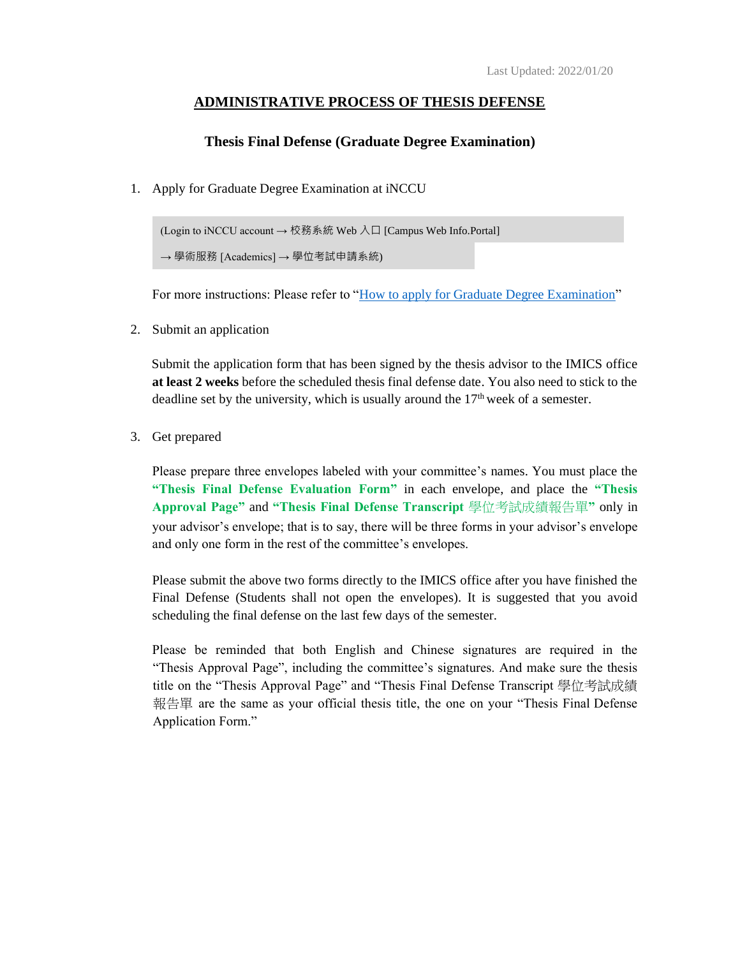## **ADMINISTRATIVE PROCESS OF THESIS DEFENSE**

## **Thesis Final Defense (Graduate Degree Examination)**

1. Apply for Graduate Degree Examination at iNCCU

 (Login to iNCCU account → 校務系統 Web 入口 [Campus Web Info.Portal] → 學術服務 [Academics] → 學位考試申請系統)

For more instructions: Please refer to ["How to apply for Graduate Degree Examination"](https://www.imics.nccu.edu.tw/_files/ugd/abd26e_2c083f8ade5c4940a9aab1d51d2499e6.pdf)

2. Submit an application

Submit the application form that has been signed by the thesis advisor to the IMICS office **at least 2 weeks** before the scheduled thesis final defense date. You also need to stick to the deadline set by the university, which is usually around the  $17<sup>th</sup>$  week of a semester.

3. Get prepared

Please prepare three envelopes labeled with your committee's names. You must place the **"Thesis Final Defense Evaluation Form"** in each envelope, and place the **"Thesis Approval Page"** and **"Thesis Final Defense Transcript** 學位考試成績報告單**"** only in your advisor's envelope; that is to say, there will be three forms in your advisor's envelope and only one form in the rest of the committee's envelopes.

Please submit the above two forms directly to the IMICS office after you have finished the Final Defense (Students shall not open the envelopes). It is suggested that you avoid scheduling the final defense on the last few days of the semester.

Please be reminded that both English and Chinese signatures are required in the "Thesis Approval Page", including the committee's signatures. And make sure the thesis title on the "Thesis Approval Page" and "Thesis Final Defense Transcript 學位考試成績 報告單 are the same as your official thesis title, the one on your "Thesis Final Defense Application Form."